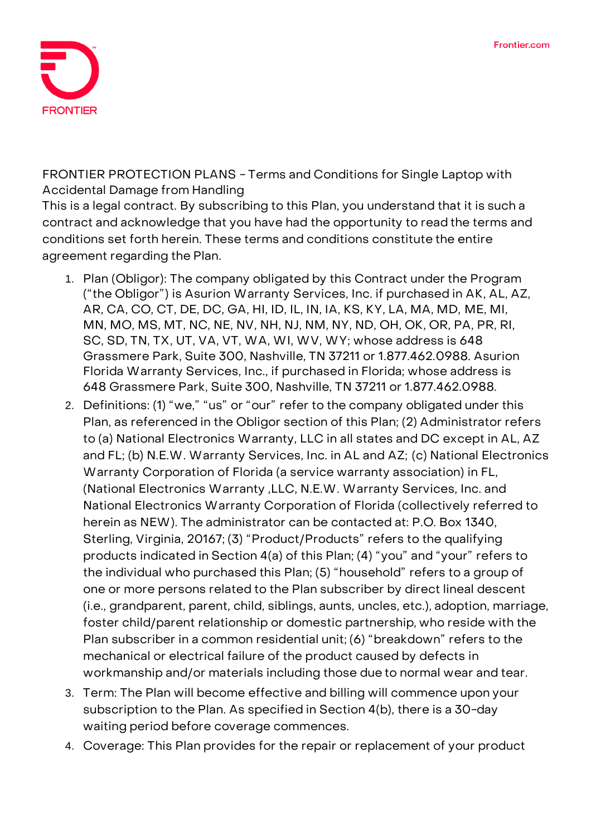

**FRONTIER PROTECTION PLANS - Terms and Conditions for Single Laptop with Accidental Damage from Handling**

This is a legal contract. By subscribing to this Plan, you understand that it is such a contract and acknowledge that you have had the opportunity to read the terms and conditions set forth herein. These terms and conditions constitute the entire agreement regarding the Plan.

- 1. **Plan (Obligor):** The company obligated by this Contract under the Program ("the Obligor") is Asurion Warranty Services, Inc. if purchased in AK, AL, AZ, AR, CA, CO, CT, DE, DC, GA, HI, ID, IL, IN, IA, KS, KY, LA, MA, MD, ME, MI, MN, MO, MS, MT, NC, NE, NV, NH, NJ, NM, NY, ND, OH, OK, OR, PA, PR, RI, SC, SD, TN, TX, UT, VA, VT, WA, WI, WV, WY; whose address is 648 Grassmere Park, Suite 300, Nashville, TN 37211 or 1.877.462.0988. Asurion Florida Warranty Services, Inc., if purchased in Florida; whose address is 648 Grassmere Park, Suite 300, Nashville, TN 37211 or 1.877.462.0988.
- 2. **Definitions:** (1) "we," "us" or "our" refer to the company obligated under this Plan, as referenced in the Obligor section of this Plan; (2) Administrator refers to (a) National Electronics Warranty, LLC in all states and DC except in AL, AZ and FL; (b) N.E.W. Warranty Services, Inc. in AL and AZ; (c) National Electronics Warranty Corporation of Florida (a service warranty association) in FL, (National Electronics Warranty ,LLC, N.E.W. Warranty Services, Inc. and National Electronics Warranty Corporation of Florida (collectively referred to herein as NEW). The administrator can be contacted at: P.O. Box 1340, Sterling, Virginia, 20167; (3) "Product/Products" refers to the qualifying products indicated in Section 4(a) of this Plan; (4) "you" and "your" refers to the individual who purchased this Plan; (5) "household" refers to a group of one or more persons related to the Plan subscriber by direct lineal descent (i.e., grandparent, parent, child, siblings, aunts, uncles, etc.), adoption, marriage, foster child/parent relationship or domestic partnership, who reside with the Plan subscriber in a common residential unit; (6) "breakdown" refers to the mechanical or electrical failure of the product caused by defects in workmanship and/or materials including those due to normal wear and tear.
- 3. **Term:** The Plan will become effective and billing will commence upon your subscription to the Plan. As specified in Section 4(b), there is a 30-day waiting period before coverage commences.
- 4. **Coverage:** This Plan provides for the repair or replacement of your product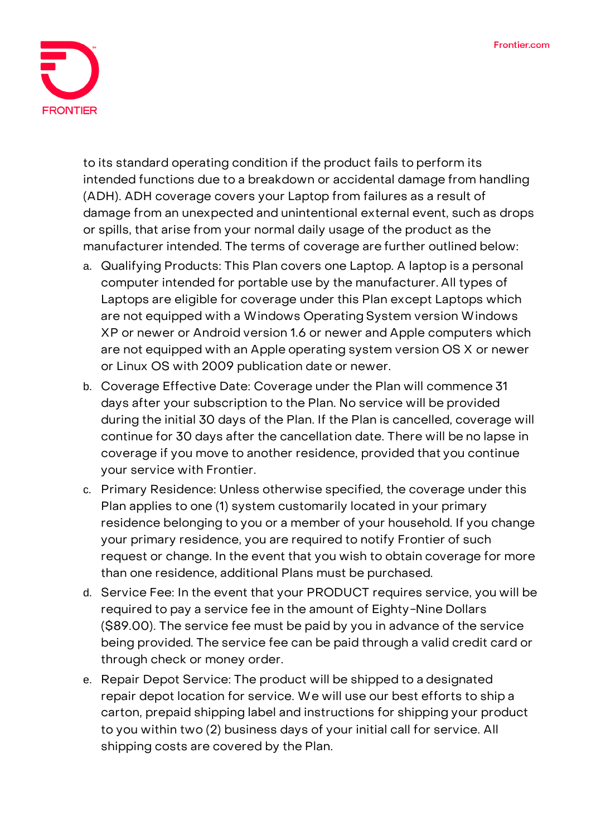

to its standard operating condition if the product fails to perform its intended functions due to a breakdown or accidental damage from handling (ADH). ADH coverage covers your Laptop from failures as a result of damage from an unexpected and unintentional external event, such as drops or spills, that arise from your normal daily usage of the product as the manufacturer intended. The terms of coverage are further outlined below:

- a. Qualifying Products: This Plan covers one Laptop. A laptop is a personal computer intended for portable use by the manufacturer. All types of Laptops are eligible for coverage under this Plan except Laptops which are not equipped with a Windows Operating System version Windows XP or newer or Android version 1.6 or newer and Apple computers which are not equipped with an Apple operating system version OS X or newer or Linux OS with 2009 publication date or newer.
- b. Coverage Effective Date: **Coverage under the Plan will commence 31 days after your subscription to the Plan. No service will be provided during the initial 30 days of the Plan. If the Plan is cancelled, coverage will continue for 30 days after the cancellation date.** There will be no lapse in coverage if you move to another residence, provided that you continue your service with Frontier.
- c. Primary Residence: Unless otherwise specified, the coverage under this Plan applies to one (1) system customarily located in your primary residence belonging to you or a member of your household. If you change your primary residence, you are required to notify Frontier of such request or change. In the event that you wish to obtain coverage for more than one residence, additional Plans must be purchased.
- d. Service Fee: **In the event that your PRODUCT requires service, you will be required to pay a service fee in the amount of Eighty-Nine Dollars (\$89.00).** The service fee must be paid by you in advance of the service being provided. The service fee can be paid through a valid credit card or through check or money order.
- e. Repair Depot Service: The product will be shipped to a designated repair depot location for service. We will use our best efforts to ship a carton, prepaid shipping label and instructions for shipping your product to you within two (2) business days of your initial call for service. All shipping costs are covered by the Plan.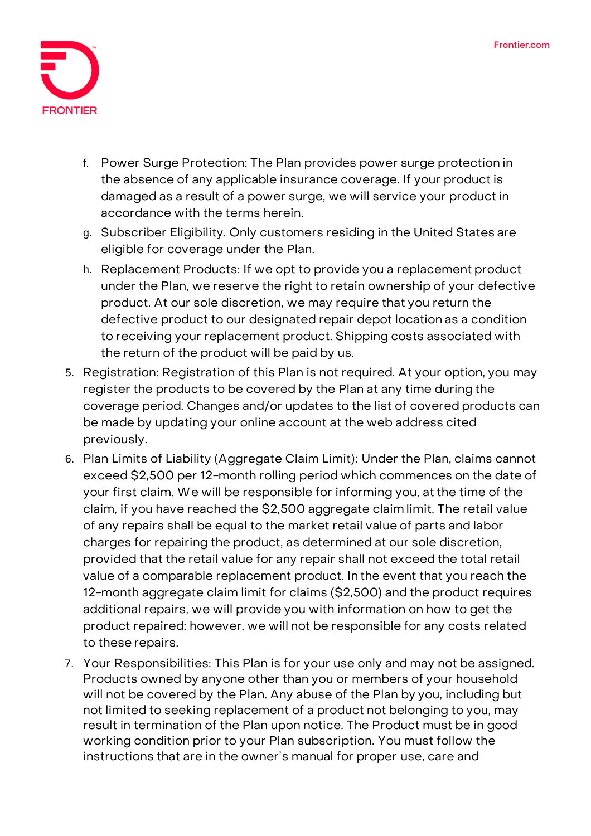

- f. Power Surge Protection: The Plan provides power surge protection in the absence of any applicable insurance coverage. If your product is damaged as a result of a power surge, we will service your product in accordance with the terms herein.
- g. Subscriber Eligibility. Only customers residing in the United States are eligible for coverage under the Plan.
- h. Replacement Products: If we opt to provide you a replacement product under the Plan, we reserve the right to retain ownership of your defective product. At our sole discretion, we may require that you return the defective product to our designated repair depot location as a condition to receiving your replacement product. Shipping costs associated with the return of the product will be paid by us.
- 5. **Registration:** Registration of this Plan is not required. At your option, you may register the products to be covered by the Plan at any time during the coverage period. Changes and/or updates to the list of covered products can be made by updating your online account at the web address cited previously.
- 6. **Plan Limits of Liability (Aggregate Claim Limit):** Under the Plan, claims cannot exceed \$2,500 per 12-month rolling period which commences on the date of your first claim. We will be responsible for informing you, at the time of the claim, if you have reached the \$2,500 aggregate claim limit. The retail value of any repairs shall be equal to the market retail value of parts and labor charges for repairing the product, as determined at our sole discretion, provided that the retail value for any repair shall not exceed the total retail value of a comparable replacement product. In the event that you reach the 12-month aggregate claim limit for claims (\$2,500) and the product requires additional repairs, we will provide you with information on how to get the product repaired; however, we will not be responsible for any costs related to these repairs.
- 7. **Your Responsibilities:** This Plan is for your use only and may not be assigned. Products owned by anyone other than you or members of your household will not be covered by the Plan. Any abuse of the Plan by you, including but not limited to seeking replacement of a product not belonging to you, may result in termination of the Plan upon notice. The Product must be in good working condition prior to your Plan subscription. You must follow the instructions that are in the owner's manual for proper use, care and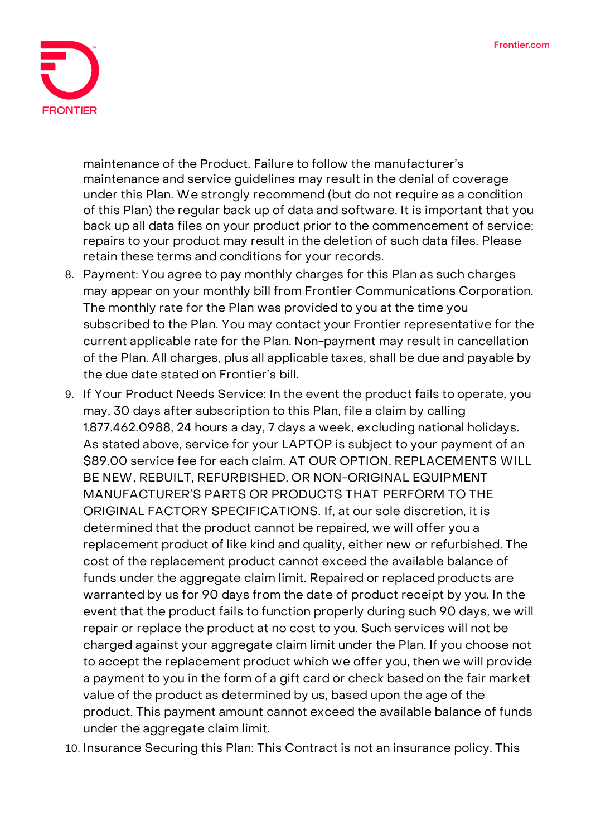

maintenance of the Product. Failure to follow the manufacturer's maintenance and service guidelines may result in the denial of coverage under this Plan. We strongly recommend (but do not require as a condition of this Plan) the regular back up of data and software. It is important that you back up all data files on your product prior to the commencement of service; repairs to your product may result in the deletion of such data files. Please retain these terms and conditions for your records.

- 8. **Payment:** You agree to pay monthly charges for this Plan as such charges may appear on your monthly bill from Frontier Communications Corporation. The monthly rate for the Plan was provided to you at the time you subscribed to the Plan. You may contact your Frontier representative for the current applicable rate for the Plan. Non-payment may result in cancellation of the Plan. All charges, plus all applicable taxes, shall be due and payable by the due date stated on Frontier's bill.
- 9. **If Your Product Needs Service:** In the event the product fails to operate, you may, 30 days after subscription to this Plan, file a claim by calling 1.877.462.0988, 24 hours a day, 7 days a week, excluding national holidays. As stated above, service for your LAPTOP is subject to your payment of an \$89.00 service fee for each claim. **AT OUR OPTION, REPLACEMENTS WILL BE NEW, REBUILT, REFURBISHED, OR NON-ORIGINAL EQUIPMENT MANUFACTURER'S PARTS OR PRODUCTS THAT PERFORM TO THE ORIGINAL FACTORY SPECIFICATIONS.** If, at our sole discretion, it is determined that the product cannot be repaired, we will offer you a replacement product of like kind and quality, either new or refurbished. The cost of the replacement product cannot exceed the available balance of funds under the aggregate claim limit. Repaired or replaced products are warranted by us for 90 days from the date of product receipt by you. In the event that the product fails to function properly during such 90 days, we will repair or replace the product at no cost to you. Such services will not be charged against your aggregate claim limit under the Plan. If you choose not to accept the replacement product which we offer you, then we will provide a payment to you in the form of a gift card or check based on the fair market value of the product as determined by us, based upon the age of the product. This payment amount cannot exceed the available balance of funds under the aggregate claim limit.
- 10. **Insurance Securing this Plan:** This Contract is not an insurance policy. This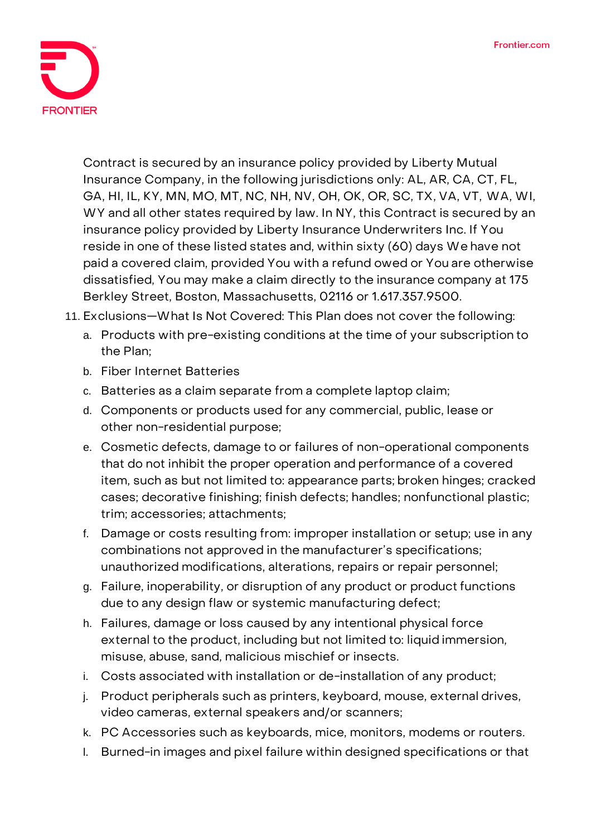

Contract is secured by an insurance policy provided by Liberty Mutual Insurance Company, in the following jurisdictions only: AL, AR, CA, CT, FL, GA, HI, IL, KY, MN, MO, MT, NC, NH, NV, OH, OK, OR, SC, TX, VA, VT, WA, WI, WY and all other states required by law. In NY, this Contract is secured by an insurance policy provided by Liberty Insurance Underwriters Inc. If You reside in one of these listed states and, within sixty (60) days We have not paid a covered claim, provided You with a refund owed or You are otherwise dissatisfied, You may make a claim directly to the insurance company at 175 Berkley Street, Boston, Massachusetts, 02116 or 1.617.357.9500.

- 11. **Exclusions—What Is Not Covered:** This Plan does not cover the following:
	- a. Products with pre-existing conditions at the time of your subscription to the Plan;
	- b. Fiber Internet Batteries
	- c. Batteries as a claim separate from a complete laptop claim;
	- d. Components or products used for any commercial, public, lease or other non-residential purpose;
	- e. Cosmetic defects, damage to or failures of non-operational components that do not inhibit the proper operation and performance of a covered item, such as but not limited to: appearance parts; broken hinges; cracked cases; decorative finishing; finish defects; handles; nonfunctional plastic; trim; accessories; attachments;
	- f. Damage or costs resulting from: improper installation or setup; use in any combinations not approved in the manufacturer's specifications; unauthorized modifications, alterations, repairs or repair personnel;
	- g. Failure, inoperability, or disruption of any product or product functions due to any design flaw or systemic manufacturing defect;
	- h. Failures, damage or loss caused by any intentional physical force external to the product, including but not limited to: liquid immersion, misuse, abuse, sand, malicious mischief or insects.
	- i. Costs associated with installation or de-installation of any product;
	- j. Product peripherals such as printers, keyboard, mouse, external drives, video cameras, external speakers and/or scanners;
	- k. PC Accessories such as keyboards, mice, monitors, modems or routers.
	- l. Burned-in images and pixel failure within designed specifications or that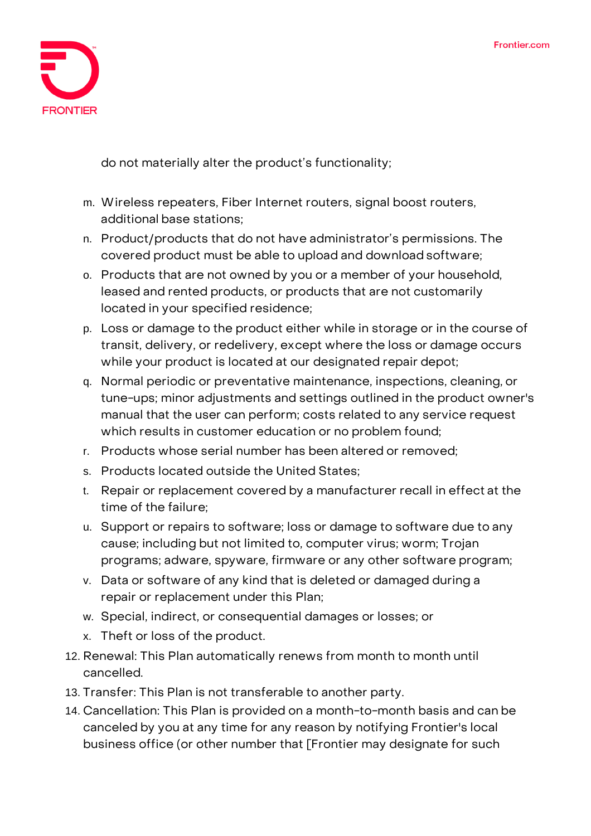

do not materially alter the product's functionality;

- m. Wireless repeaters, Fiber Internet routers, signal boost routers, additional base stations;
- n. Product/products that do not have administrator's permissions. The covered product must be able to upload and download software;
- o. Products that are not owned by you or a member of your household, leased and rented products, or products that are not customarily located in your specified residence;
- p. Loss or damage to the product either while in storage or in the course of transit, delivery, or redelivery, except where the loss or damage occurs while your product is located at our designated repair depot;
- q. Normal periodic or preventative maintenance, inspections, cleaning, or tune-ups; minor adjustments and settings outlined in the product owner's manual that the user can perform; costs related to any service request which results in customer education or no problem found;
- r. Products whose serial number has been altered or removed;
- s. Products located outside the United States;
- t. Repair or replacement covered by a manufacturer recall in effect at the time of the failure;
- u. Support or repairs to software; loss or damage to software due to any cause; including but not limited to, computer virus; worm; Trojan programs; adware, spyware, firmware or any other software program;
- v. Data or software of any kind that is deleted or damaged during a repair or replacement under this Plan;
- w. Special, indirect, or consequential damages or losses; or
- x. Theft or loss of the product.
- 12. **Renewal:** This Plan automatically renews from month to month until cancelled.
- 13. **Transfer:** This Plan is not transferable to another party.
- 14. **Cancellation:** This Plan is provided on a month-to-month basis and can be canceled by you at any time for any reason by notifying Frontier's local business office (or other number that [Frontier may designate for such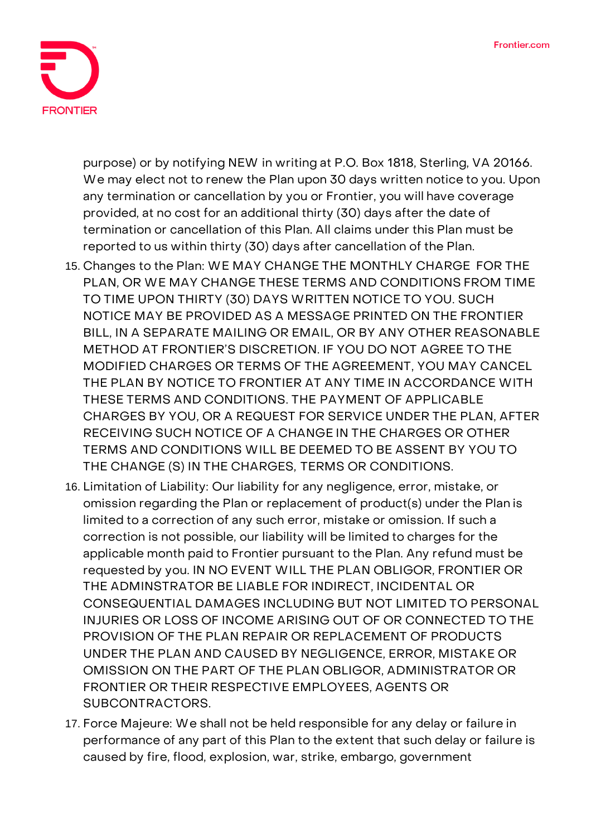

purpose) or by notifying NEW in writing at P.O. Box 1818, Sterling, VA 20166. We may elect not to renew the Plan upon 30 days written notice to you. Upon any termination or cancellation by you or Frontier, you will have coverage provided, at no cost for an additional thirty (30) days after the date of termination or cancellation of this Plan. All claims under this Plan must be reported to us within thirty (30) days after cancellation of the Plan.

- 15. **Changes to the Plan:** WE MAY CHANGE THE MONTHLY CHARGE FOR THE PLAN, OR WE MAY CHANGE THESE TERMS AND CONDITIONS FROM TIME TO TIME UPON THIRTY (30) DAYS WRITTEN NOTICE TO YOU. SUCH NOTICE MAY BE PROVIDED AS A MESSAGE PRINTED ON THE FRONTIER BILL, IN A SEPARATE MAILING OR EMAIL, OR BY ANY OTHER REASONABLE METHOD AT FRONTIER'S DISCRETION. IF YOU DO NOT AGREE TO THE MODIFIED CHARGES OR TERMS OF THE AGREEMENT, YOU MAY CANCEL THE PLAN BY NOTICE TO FRONTIER AT ANY TIME IN ACCORDANCE WITH THESE TERMS AND CONDITIONS. THE PAYMENT OF APPLICABLE CHARGES BY YOU, OR A REQUEST FOR SERVICE UNDER THE PLAN, AFTER RECEIVING SUCH NOTICE OF A CHANGE IN THE CHARGES OR OTHER TERMS AND CONDITIONS WILL BE DEEMED TO BE ASSENT BY YOU TO THE CHANGE (S) IN THE CHARGES, TERMS OR CONDITIONS.
- 16. **Limitation of Liability:** Our liability for any negligence, error, mistake, or omission regarding the Plan or replacement of product(s) under the Plan is limited to a correction of any such error, mistake or omission. If such a correction is not possible, our liability will be limited to charges for the applicable month paid to Frontier pursuant to the Plan. Any refund must be requested by you. IN NO EVENT WILL THE PLAN OBLIGOR, FRONTIER OR THE ADMINSTRATOR BE LIABLE FOR INDIRECT, INCIDENTAL OR CONSEQUENTIAL DAMAGES INCLUDING BUT NOT LIMITED TO PERSONAL INJURIES OR LOSS OF INCOME ARISING OUT OF OR CONNECTED TO THE PROVISION OF THE PLAN REPAIR OR REPLACEMENT OF PRODUCTS UNDER THE PLAN AND CAUSED BY NEGLIGENCE, ERROR, MISTAKE OR OMISSION ON THE PART OF THE PLAN OBLIGOR, ADMINISTRATOR OR FRONTIER OR THEIR RESPECTIVE EMPLOYEES, AGENTS OR SUBCONTRACTORS.
- 17. **Force Majeure:** We shall not be held responsible for any delay or failure in performance of any part of this Plan to the extent that such delay or failure is caused by fire, flood, explosion, war, strike, embargo, government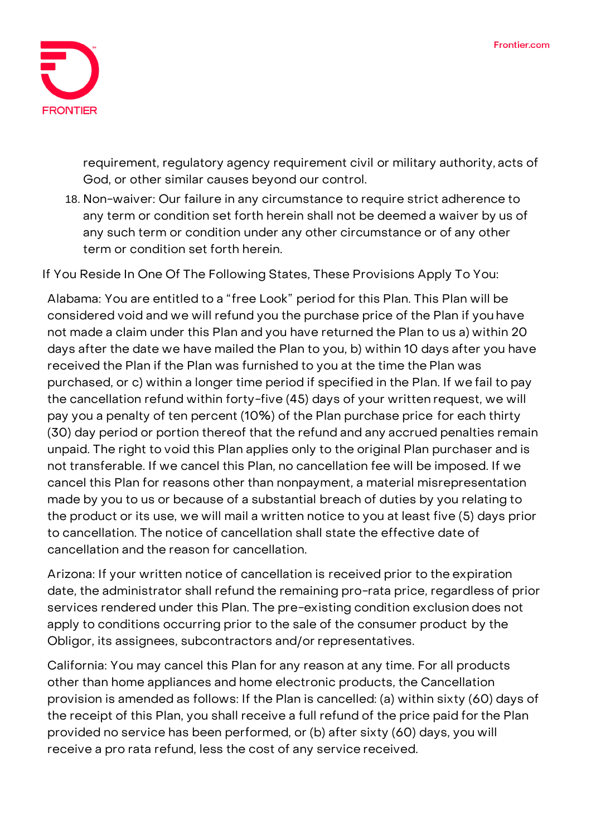

requirement, regulatory agency requirement civil or military authority, acts of God, or other similar causes beyond our control.

18. **Non-waiver:** Our failure in any circumstance to require strict adherence to any term or condition set forth herein shall not be deemed a waiver by us of any such term or condition under any other circumstance or of any other term or condition set forth herein.

**If You Reside In One Of The Following States, These Provisions Apply To You:**

**Alabama:** You are entitled to a "free Look" period for this Plan. This Plan will be considered void and we will refund you the purchase price of the Plan if you have not made a claim under this Plan and you have returned the Plan to us a) within 20 days after the date we have mailed the Plan to you, b) within 10 days after you have received the Plan if the Plan was furnished to you at the time the Plan was purchased, or c) within a longer time period if specified in the Plan. If we fail to pay the cancellation refund within forty-five (45) days of your written request, we will pay you a penalty of ten percent (10%) of the Plan purchase price for each thirty (30) day period or portion thereof that the refund and any accrued penalties remain unpaid. The right to void this Plan applies only to the original Plan purchaser and is not transferable. If we cancel this Plan, no cancellation fee will be imposed. If we cancel this Plan for reasons other than nonpayment, a material misrepresentation made by you to us or because of a substantial breach of duties by you relating to the product or its use, we will mail a written notice to you at least five (5) days prior to cancellation. The notice of cancellation shall state the effective date of cancellation and the reason for cancellation.

**Arizona:** If your written notice of cancellation is received prior to the expiration date, the administrator shall refund the remaining pro-rata price, regardless of prior services rendered under this Plan. The pre-existing condition exclusion does not apply to conditions occurring prior to the sale of the consumer product by the Obligor, its assignees, subcontractors and/or representatives.

**California:** You may cancel this Plan for any reason at any time. For all products other than home appliances and home electronic products, the Cancellation provision is amended as follows: If the Plan is cancelled: (a) within sixty (60) days of the receipt of this Plan, you shall receive a full refund of the price paid for the Plan provided no service has been performed, or (b) after sixty (60) days, you will receive a pro rata refund, less the cost of any service received.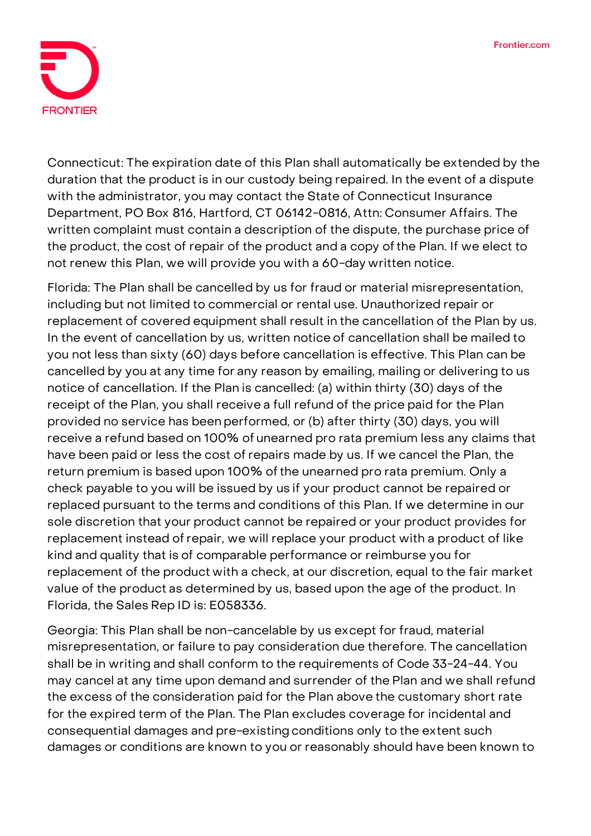

**Connecticut:** The expiration date of this Plan shall automatically be extended by the duration that the product is in our custody being repaired. In the event of a dispute with the administrator, you may contact the State of Connecticut Insurance Department, PO Box 816, Hartford, CT 06142-0816, Attn: Consumer Affairs. The written complaint must contain a description of the dispute, the purchase price of the product, the cost of repair of the product and a copy ofthe Plan. If we elect to not renew this Plan, we will provide you with a 60-day written notice.

**Florida:** The Plan shall be cancelled by us for fraud or material misrepresentation, including but not limited to commercial or rental use. Unauthorized repair or replacement of covered equipment shall result in the cancellation of the Plan by us. In the event of cancellation by us, written notice of cancellation shall be mailed to you not less than sixty (60) days before cancellation is effective. This Plan can be cancelled by you at any time for any reason by emailing, mailing or delivering to us notice of cancellation. If the Plan is cancelled: (a) within thirty (30) days of the receipt of the Plan, you shall receive a full refund of the price paid for the Plan provided no service has beenperformed, or (b) after thirty (30) days, you will receive a refund based on 100% of unearned pro rata premium less any claims that have been paid or less the cost of repairs made by us. If we cancel the Plan, the return premium is based upon 100% of the unearned pro rata premium. Only a check payable to you will be issued by us if your product cannot be repaired or replaced pursuant to the terms and conditions of this Plan. If we determine in our sole discretion that your product cannot be repaired or your product provides for replacement instead ofrepair, we will replace your product with a product of like kind and quality that is of comparable performance or reimburse you for replacement of the product with a check, at our discretion, equal to the fair market value of the product as determined by us, based upon the age of the product. In Florida, the Sales Rep ID is: E058336.

**Georgia:** This Plan shall be non-cancelable by us except for fraud, material misrepresentation, or failure to pay consideration due therefore. The cancellation shall be in writing and shall conform to the requirements of Code 33-24-44. You may cancel at any time upon demand and surrender of the Plan and we shall refund the excess of the consideration paid for the Plan above the customary short rate for the expired term of the Plan. The Plan excludes coverage for incidental and consequential damages and pre-existing conditions only to the extent such damages or conditions are known to you or reasonably should have been known to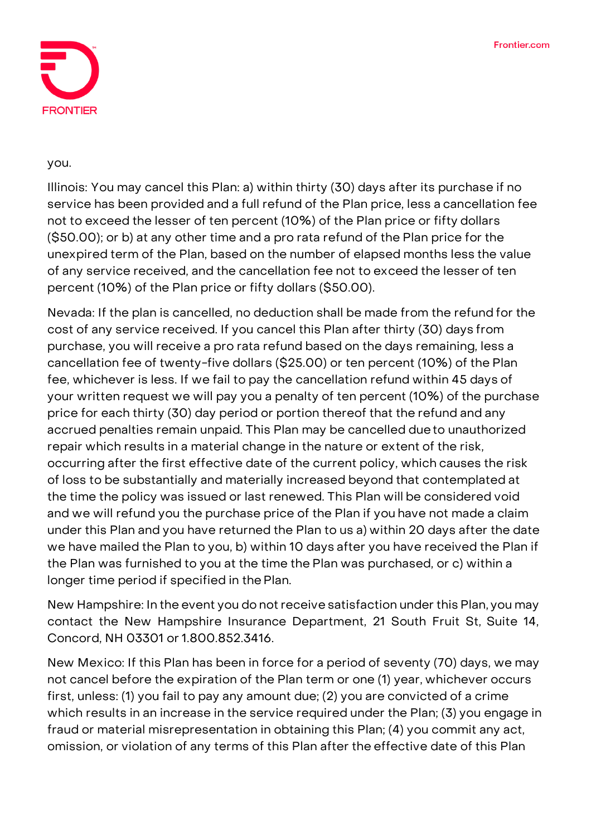

## you.

**Illinois:** You may cancel this Plan: a) within thirty (30) days after its purchase if no service has been provided and a full refund of the Plan price, less a cancellation fee not to exceed the lesser of ten percent (10%) of the Plan price or fifty dollars (\$50.00); or b) at any other time and a pro rata refund of the Plan price for the unexpired term of the Plan, based on the number of elapsed months less the value of any service received, and the cancellation fee not to exceed the lesser of ten percent (10%) of the Plan price or fifty dollars (\$50.00).

**Nevada:** If the plan is cancelled, no deduction shall be made from the refund for the cost of any service received. If you cancel this Plan after thirty (30) days from purchase, you will receive a pro rata refund based on the days remaining, less a cancellation fee of twenty-five dollars (\$25.00) or ten percent (10%) of the Plan fee, whichever is less. If we fail to pay the cancellation refund within 45 days of your written request we will pay you a penalty of ten percent (10%) of the purchase price for each thirty (30) day period or portion thereof that the refund and any accrued penalties remain unpaid. This Plan may be cancelled dueto unauthorized repair which results in a material change in the nature or extent of the risk, occurring after the first effective date of the current policy, which causes the risk of loss to be substantially and materially increased beyond that contemplated at the time the policy was issued or last renewed. This Plan will be considered void and we will refund you the purchase price of the Plan if you have not made a claim under this Plan and you have returned the Plan to us a) within 20 days after the date we have mailed the Plan to you, b) within 10 days after you have received the Plan if the Plan was furnished to you at the time the Plan was purchased, or c) within a longer time period if specified in the Plan.

**New Hampshire:** In the event you do not receive satisfaction under this Plan, you may contact the New Hampshire Insurance Department, 21 South Fruit St, Suite 14, Concord, NH 03301 or 1.800.852.3416.

**New Mexico:** If this Plan has been in force for a period of seventy (70) days, we may not cancel before the expiration of the Plan term or one (1) year, whichever occurs first, unless: (1) you fail to pay any amount due; (2) you are convicted of a crime which results in an increase in the service required under the Plan; (3) you engage in fraud or material misrepresentation in obtaining this Plan; (4) you commit any act, omission, or violation of any terms of this Plan after the effective date of this Plan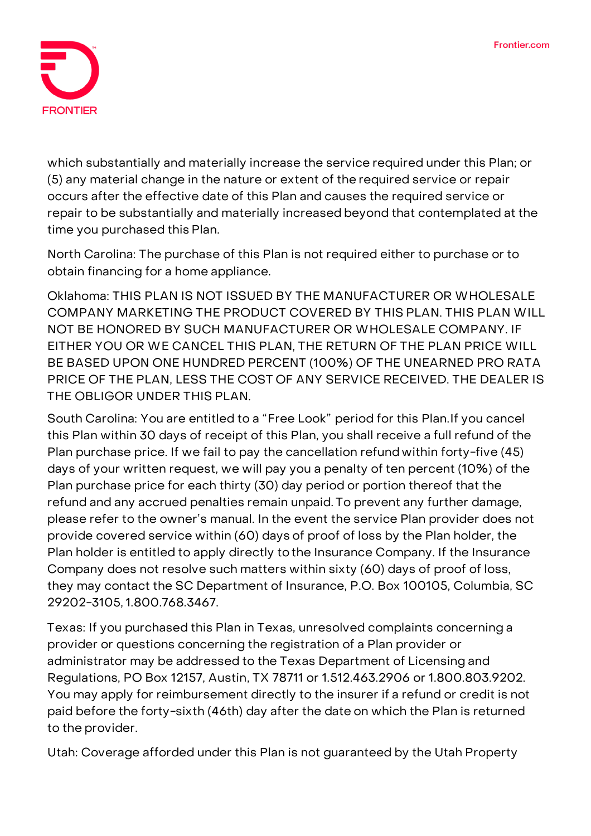

which substantially and materially increase the service required under this Plan; or (5) any material change in the nature or extent of the required service or repair occurs after the effective date of this Plan and causes the required service or repair to be substantially and materially increased beyond that contemplated at the time you purchased this Plan.

**North Carolina:** The purchase of this Plan is not required either to purchase or to obtain financing for a home appliance.

**Oklahoma:** THIS PLAN IS NOT ISSUED BY THE MANUFACTURER OR WHOLESALE COMPANY MARKETING THE PRODUCT COVERED BY THIS PLAN. THIS PLAN WILL NOT BE HONORED BY SUCH MANUFACTURER OR WHOLESALE COMPANY. IF EITHER YOU OR WE CANCEL THIS PLAN, THE RETURN OF THE PLAN PRICE WILL BE BASED UPON ONE HUNDRED PERCENT (100%) OF THE UNEARNED PRO RATA PRICE OF THE PLAN, LESS THE COST OF ANY SERVICE RECEIVED. THE DEALER IS THE OBLIGOR UNDER THIS PLAN.

**South Carolina:** You are entitled to a "Free Look" period for this Plan.If you cancel this Plan within 30 days of receipt of this Plan, you shall receive a full refund of the Plan purchase price. If we fail to pay the cancellation refund within forty-five (45) days of your written request, we will pay you a penalty of ten percent (10%) of the Plan purchase price for each thirty (30) day period or portion thereof that the refund and any accrued penalties remain unpaid. To prevent any further damage, please refer to the owner's manual. In the event the service Plan provider does not provide covered service within (60) days of proof of loss by the Plan holder, the Plan holder is entitled to apply directly tothe Insurance Company. If the Insurance Company does not resolve such matters within sixty (60) days of proof of loss, they may contact the SC Department of Insurance, P.O. Box 100105, Columbia, SC 29202-3105, 1.800.768.3467.

**Texas:** If you purchased this Plan in Texas, unresolved complaints concerning a provider or questions concerning the registration of a Plan provider or administrator may be addressed to the Texas Department of Licensing and Regulations, PO Box 12157, Austin, TX 78711 or 1.512.463.2906 or 1.800.803.9202. You may apply for reimbursement directly to the insurer if a refund or credit is not paid before the forty-sixth (46th) day after the date on which the Plan is returned to the provider.

**Utah:** Coverage afforded under this Plan is not guaranteed by the Utah Property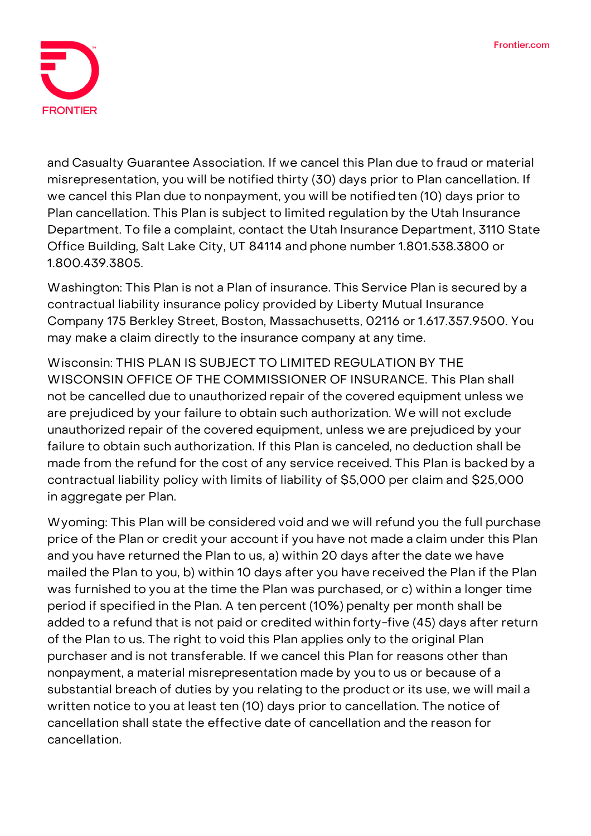

and Casualty Guarantee Association. If we cancel this Plan due to fraud or material misrepresentation, you will be notified thirty (30) days prior to Plan cancellation. If we cancel this Plan due to nonpayment, you will be notified ten (10) days prior to Plan cancellation. This Plan is subject to limited regulation by the Utah Insurance Department. To file a complaint, contact the Utah Insurance Department, 3110 State Office Building, Salt Lake City, UT 84114 and phone number 1.801.538.3800 or 1.800.439.3805.

**Washington:** This Plan is not a Plan of insurance. This Service Plan is secured by a contractual liability insurance policy provided by Liberty Mutual Insurance Company 175 Berkley Street, Boston, Massachusetts, 02116 or 1.617.357.9500. You may make a claim directly to the insurance company at any time.

**Wisconsin: THIS PLAN IS SUBJECT TO LIMITED REGULATION BY THE WISCONSIN OFFICE OF THE COMMISSIONER OF INSURANCE.** This Plan shall not be cancelled due to unauthorized repair of the covered equipment unless we are prejudiced by your failure to obtain such authorization. We will not exclude unauthorized repair of the covered equipment, unless we are prejudiced by your failure to obtain such authorization. If this Plan is canceled, no deduction shall be made from the refund for the cost of any service received. This Plan is backed by a contractual liability policy with limits of liability of \$5,000 per claim and \$25,000 in aggregate per Plan.

**Wyoming:** This Plan will be considered void and we will refund you the full purchase price of the Plan or credit your account if you have not made a claim under this Plan and you have returned the Plan to us, a) within 20 days after the date we have mailed the Plan to you, b) within 10 days after you have received the Plan if the Plan was furnished to you at the time the Plan was purchased, or c) within a longer time period if specified in the Plan. A ten percent (10%) penalty per month shall be added to a refund that is not paid or credited within forty-five (45) days after return of the Plan to us. The right to void this Plan applies only to the original Plan purchaser and is not transferable. If we cancel this Plan for reasons other than nonpayment, a material misrepresentation made by you to us or because of a substantial breach of duties by you relating to the product or its use, we will mail a written notice to you at least ten (10) days prior to cancellation. The notice of cancellation shall state the effective date of cancellation and the reason for cancellation.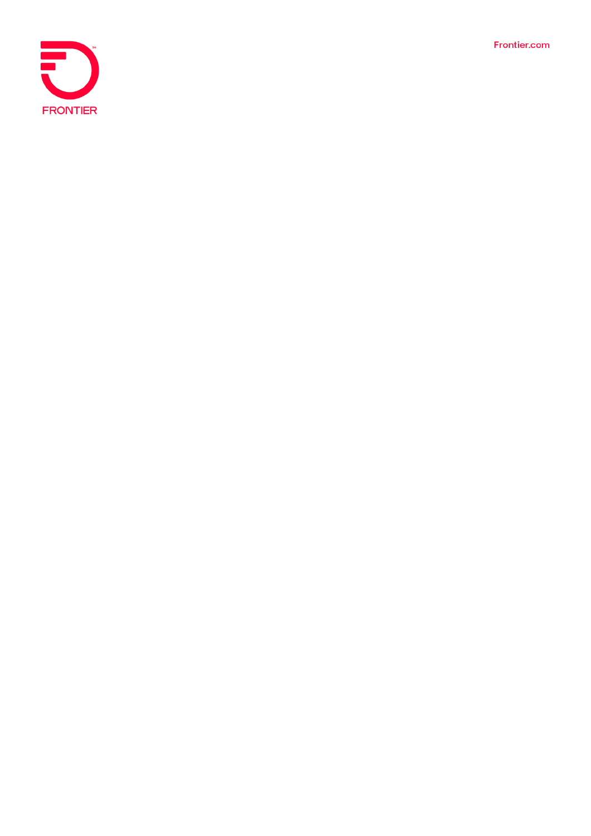Frontier.com